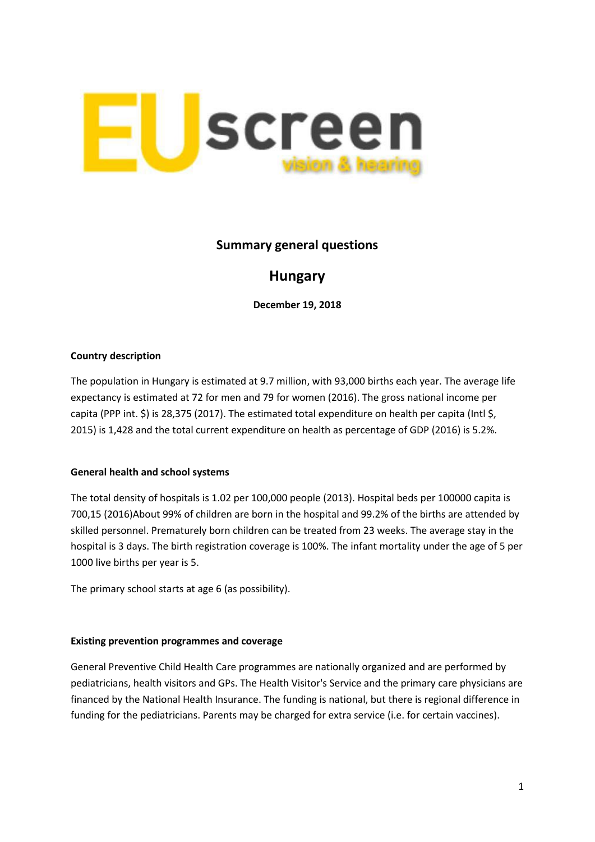

# **Summary general questions**

# **Hungary**

**December 19, 2018**

## **Country description**

The population in Hungary is estimated at 9.7 million, with 93,000 births each year. The average life expectancy is estimated at 72 for men and 79 for women (2016). The gross national income per capita (PPP int. \$) is 28,375 (2017). The estimated total expenditure on health per capita (Intl \$, 2015) is 1,428 and the total current expenditure on health as percentage of GDP (2016) is 5.2%.

## **General health and school systems**

The total density of hospitals is 1.02 per 100,000 people (2013). Hospital beds per 100000 capita is 700,15 (2016)About 99% of children are born in the hospital and 99.2% of the births are attended by skilled personnel. Prematurely born children can be treated from 23 weeks. The average stay in the hospital is 3 days. The birth registration coverage is 100%. The infant mortality under the age of 5 per 1000 live births per year is 5.

The primary school starts at age 6 (as possibility).

#### **Existing prevention programmes and coverage**

General Preventive Child Health Care programmes are nationally organized and are performed by pediatricians, health visitors and GPs. The Health Visitor's Service and the primary care physicians are financed by the National Health Insurance. The funding is national, but there is regional difference in funding for the pediatricians. Parents may be charged for extra service (i.e. for certain vaccines).